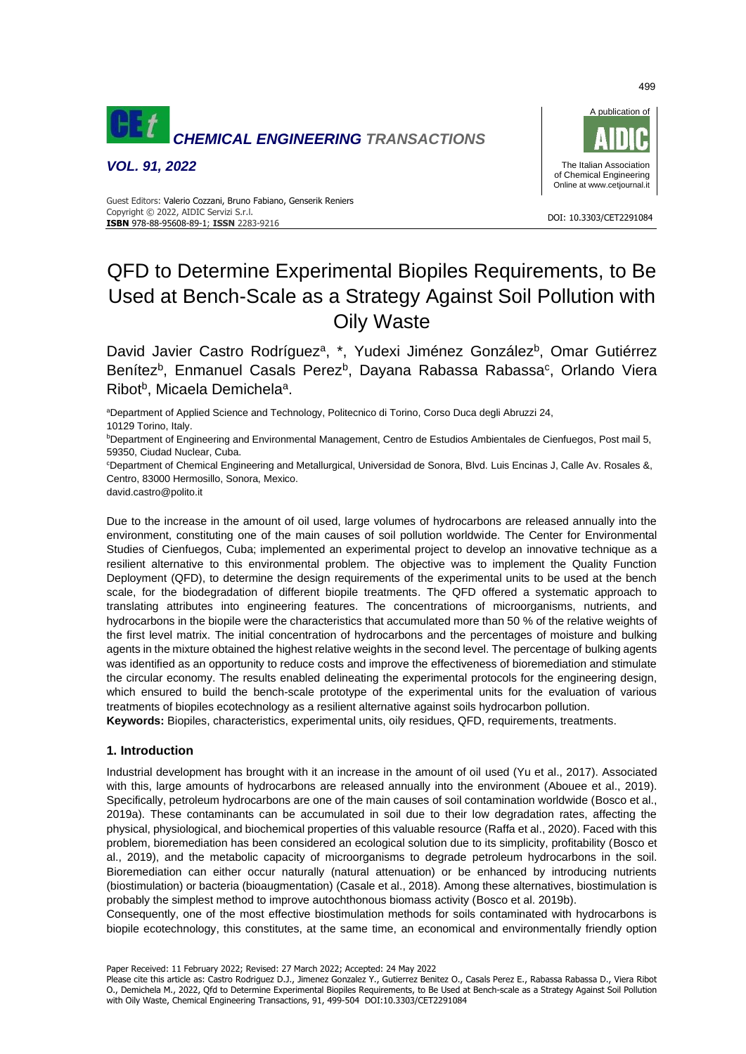

*VOL. 91, 2022*



#### DOI: 10.3303/CET2291084 **ISBN** 978-88-95608-89-1; **ISSN** 2283-9216 Guest Editors: Valerio Cozzani, Bruno Fabiano, Genserik Reniers Copyright © 2022, AIDIC Servizi S.r.l.

# QFD to Determine Experimental Biopiles Requirements, to Be Used at Bench-Scale as a Strategy Against Soil Pollution with Oily Waste

David Javier Castro Rodríguez<sup>a</sup>, \*, Yudexi Jiménez González<sup>b</sup>, Omar Gutiérrez Benítez<sup>b</sup>, Enmanuel Casals Perez<sup>b</sup>, Dayana Rabassa Rabassa<sup>c</sup>, Orlando Viera Ribot<sup>b</sup>, Micaela Demichela<sup>a</sup>.

aDepartment of Applied Science and Technology, Politecnico di Torino, Corso Duca degli Abruzzi 24, 10129 Torino, Italy.

**bDepartment of Engineering and Environmental Management, Centro de Estudios Ambientales de Cienfuegos, Post mail 5,** 59350, Ciudad Nuclear, Cuba.

<sup>c</sup>Department of Chemical Engineering and Metallurgical, Universidad de Sonora, Blvd. Luis Encinas J, Calle Av. Rosales &, Centro, 83000 Hermosillo, Sonora, Mexico.

david.castro@polito.it

Due to the increase in the amount of oil used, large volumes of hydrocarbons are released annually into the environment, constituting one of the main causes of soil pollution worldwide. The Center for Environmental Studies of Cienfuegos, Cuba; implemented an experimental project to develop an innovative technique as a resilient alternative to this environmental problem. The objective was to implement the Quality Function Deployment (QFD), to determine the design requirements of the experimental units to be used at the bench scale, for the biodegradation of different biopile treatments. The QFD offered a systematic approach to translating attributes into engineering features. The concentrations of microorganisms, nutrients, and hydrocarbons in the biopile were the characteristics that accumulated more than 50 % of the relative weights of the first level matrix. The initial concentration of hydrocarbons and the percentages of moisture and bulking agents in the mixture obtained the highest relative weights in the second level. The percentage of bulking agents was identified as an opportunity to reduce costs and improve the effectiveness of bioremediation and stimulate the circular economy. The results enabled delineating the experimental protocols for the engineering design, which ensured to build the bench-scale prototype of the experimental units for the evaluation of various treatments of biopiles ecotechnology as a resilient alternative against soils hydrocarbon pollution.

**Keywords:** Biopiles, characteristics, experimental units, oily residues, QFD, requirements, treatments.

## **1. Introduction**

Industrial development has brought with it an increase in the amount of oil used (Yu et al., 2017). Associated with this, large amounts of hydrocarbons are released annually into the environment (Abouee et al., 2019). Specifically, petroleum hydrocarbons are one of the main causes of soil contamination worldwide (Bosco et al., 2019a). These contaminants can be accumulated in soil due to their low degradation rates, affecting the physical, physiological, and biochemical properties of this valuable resource (Raffa et al., 2020). Faced with this problem, bioremediation has been considered an ecological solution due to its simplicity, profitability (Bosco et al., 2019), and the metabolic capacity of microorganisms to degrade petroleum hydrocarbons in the soil. Bioremediation can either occur naturally (natural attenuation) or be enhanced by introducing nutrients (biostimulation) or bacteria (bioaugmentation) (Casale et al., 2018). Among these alternatives, biostimulation is probably the simplest method to improve autochthonous biomass activity (Bosco et al. 2019b).

Consequently, one of the most effective biostimulation methods for soils contaminated with hydrocarbons is biopile ecotechnology, this constitutes, at the same time, an economical and environmentally friendly option

Paper Received: 11 February 2022; Revised: 27 March 2022; Accepted: 24 May 2022

Please cite this article as: Castro Rodriguez D.J., Jimenez Gonzalez Y., Gutierrez Benitez O., Casals Perez E., Rabassa Rabassa D., Viera Ribot O., Demichela M., 2022, Qfd to Determine Experimental Biopiles Requirements, to Be Used at Bench-scale as a Strategy Against Soil Pollution with Oily Waste, Chemical Engineering Transactions, 91, 499-504 DOI:10.3303/CET2291084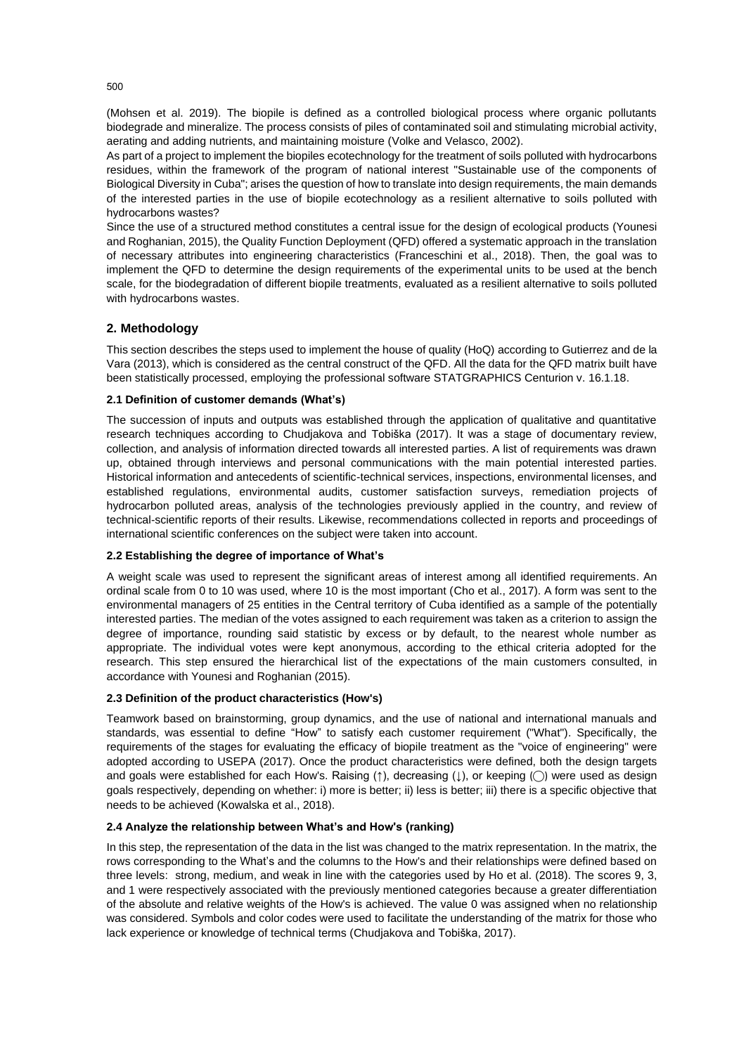(Mohsen et al. 2019). The biopile is defined as a controlled biological process where organic pollutants biodegrade and mineralize. The process consists of piles of contaminated soil and stimulating microbial activity, aerating and adding nutrients, and maintaining moisture (Volke and Velasco, 2002).

As part of a project to implement the biopiles ecotechnology for the treatment of soils polluted with hydrocarbons residues, within the framework of the program of national interest "Sustainable use of the components of Biological Diversity in Cuba"; arises the question of how to translate into design requirements, the main demands of the interested parties in the use of biopile ecotechnology as a resilient alternative to soils polluted with hydrocarbons wastes?

Since the use of a structured method constitutes a central issue for the design of ecological products (Younesi and Roghanian, 2015), the Quality Function Deployment (QFD) offered a systematic approach in the translation of necessary attributes into engineering characteristics (Franceschini et al., 2018). Then, the goal was to implement the QFD to determine the design requirements of the experimental units to be used at the bench scale, for the biodegradation of different biopile treatments, evaluated as a resilient alternative to soils polluted with hydrocarbons wastes.

## **2. Methodology**

This section describes the steps used to implement the house of quality (HoQ) according to Gutierrez and de la Vara (2013), which is considered as the central construct of the QFD. All the data for the QFD matrix built have been statistically processed, employing the professional software STATGRAPHICS Centurion v. 16.1.18.

### **2.1 Definition of customer demands (What's)**

The succession of inputs and outputs was established through the application of qualitative and quantitative research techniques according to Chudjakova and Tobiška (2017). It was a stage of documentary review, collection, and analysis of information directed towards all interested parties. A list of requirements was drawn up, obtained through interviews and personal communications with the main potential interested parties. Historical information and antecedents of scientific-technical services, inspections, environmental licenses, and established regulations, environmental audits, customer satisfaction surveys, remediation projects of hydrocarbon polluted areas, analysis of the technologies previously applied in the country, and review of technical-scientific reports of their results. Likewise, recommendations collected in reports and proceedings of international scientific conferences on the subject were taken into account.

## **2.2 Establishing the degree of importance of What's**

A weight scale was used to represent the significant areas of interest among all identified requirements. An ordinal scale from 0 to 10 was used, where 10 is the most important (Cho et al., 2017). A form was sent to the environmental managers of 25 entities in the Central territory of Cuba identified as a sample of the potentially interested parties. The median of the votes assigned to each requirement was taken as a criterion to assign the degree of importance, rounding said statistic by excess or by default, to the nearest whole number as appropriate. The individual votes were kept anonymous, according to the ethical criteria adopted for the research. This step ensured the hierarchical list of the expectations of the main customers consulted, in accordance with Younesi and Roghanian (2015).

## **2.3 Definition of the product characteristics (How's)**

Teamwork based on brainstorming, group dynamics, and the use of national and international manuals and standards, was essential to define "How" to satisfy each customer requirement ("What"). Specifically, the requirements of the stages for evaluating the efficacy of biopile treatment as the "voice of engineering" were adopted according to USEPA (2017). Once the product characteristics were defined, both the design targets and goals were established for each How's. Raising (↑), decreasing (↓), or keeping (◇) were used as design goals respectively, depending on whether: i) more is better; ii) less is better; iii) there is a specific objective that needs to be achieved (Kowalska et al., 2018).

#### **2.4 Analyze the relationship between What's and How's (ranking)**

In this step, the representation of the data in the list was changed to the matrix representation. In the matrix, the rows corresponding to the What's and the columns to the How's and their relationships were defined based on three levels: strong, medium, and weak in line with the categories used by Ho et al. (2018). The scores 9, 3, and 1 were respectively associated with the previously mentioned categories because a greater differentiation of the absolute and relative weights of the How's is achieved. The value 0 was assigned when no relationship was considered. Symbols and color codes were used to facilitate the understanding of the matrix for those who lack experience or knowledge of technical terms (Chudjakova and Tobiška, 2017).

500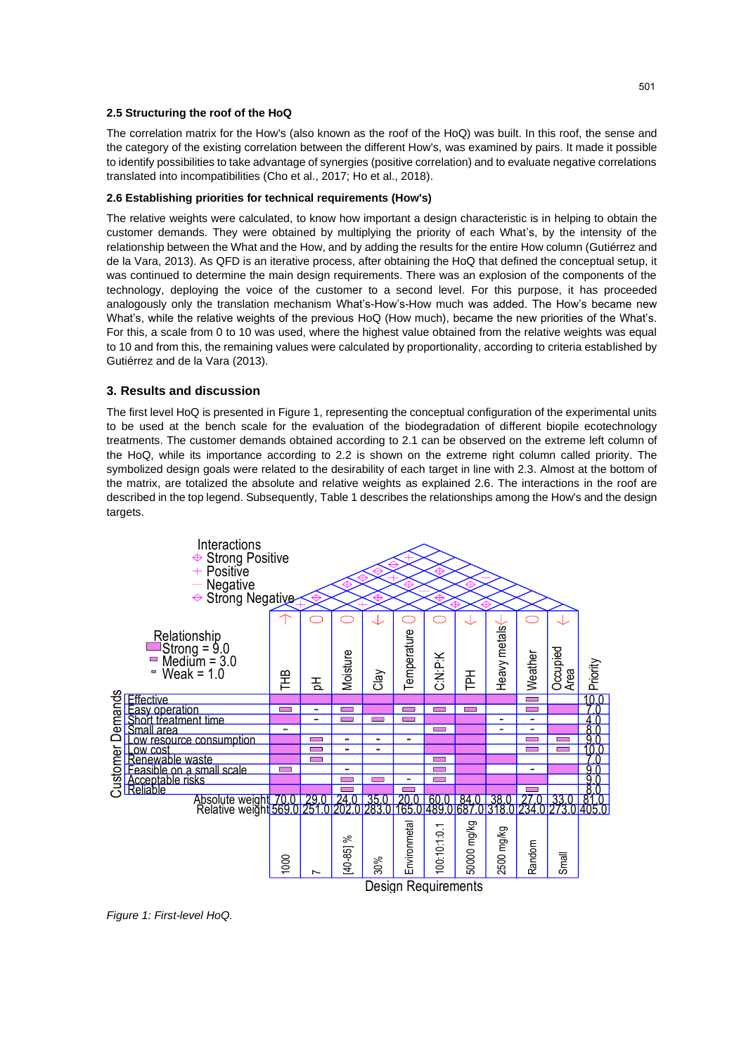#### **2.5 Structuring the roof of the HoQ**

The correlation matrix for the How's (also known as the roof of the HoQ) was built. In this roof, the sense and the category of the existing correlation between the different How's, was examined by pairs. It made it possible to identify possibilities to take advantage of synergies (positive correlation) and to evaluate negative correlations translated into incompatibilities (Cho et al., 2017; Ho et al., 2018).

## **2.6 Establishing priorities for technical requirements (How's)**

The relative weights were calculated, to know how important a design characteristic is in helping to obtain the customer demands. They were obtained by multiplying the priority of each What's, by the intensity of the relationship between the What and the How, and by adding the results for the entire How column (Gutiérrez and de la Vara, 2013). As QFD is an iterative process, after obtaining the HoQ that defined the conceptual setup, it was continued to determine the main design requirements. There was an explosion of the components of the technology, deploying the voice of the customer to a second level. For this purpose, it has proceeded analogously only the translation mechanism What's-How's-How much was added. The How's became new What's, while the relative weights of the previous HoQ (How much), became the new priorities of the What's. For this, a scale from 0 to 10 was used, where the highest value obtained from the relative weights was equal to 10 and from this, the remaining values were calculated by proportionality, according to criteria established by Gutiérrez and de la Vara (2013).

### **3. Results and discussion**

The first level HoQ is presented in Figure 1, representing the conceptual configuration of the experimental units to be used at the bench scale for the evaluation of the biodegradation of different biopile ecotechnology treatments. The customer demands obtained according to 2.1 can be observed on the extreme left column of the HoQ, while its importance according to 2.2 is shown on the extreme right column called priority. The symbolized design goals were related to the desirability of each target in line with 2.3. Almost at the bottom of the matrix, are totalized the absolute and relative weights as explained 2.6. The interactions in the roof are described in the top legend. Subsequently, Table 1 describes the relationships among the How's and the design targets.



*Figure 1: First-level HoQ.*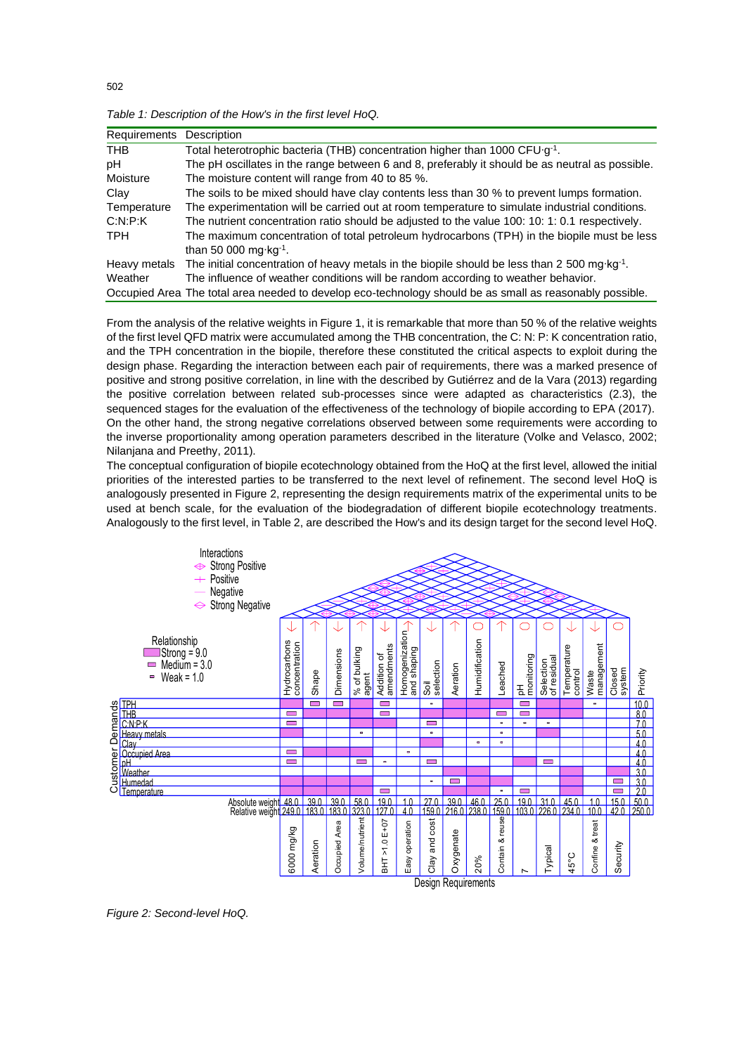| Requirements | Description                                                                                              |
|--------------|----------------------------------------------------------------------------------------------------------|
| <b>THB</b>   | Total heterotrophic bacteria (THB) concentration higher than 1000 CFU·g <sup>-1</sup> .                  |
| рH           | The pH oscillates in the range between 6 and 8, preferably it should be as neutral as possible.          |
| Moisture     | The moisture content will range from 40 to 85 %.                                                         |
| Clay         | The soils to be mixed should have clay contents less than 30 % to prevent lumps formation.               |
| Temperature  | The experimentation will be carried out at room temperature to simulate industrial conditions.           |
| C:N:P:K      | The nutrient concentration ratio should be adjusted to the value 100: 10: 1: 0.1 respectively.           |
| <b>TPH</b>   | The maximum concentration of total petroleum hydrocarbons (TPH) in the biopile must be less              |
|              | than 50 000 mg $kg^{-1}$ .                                                                               |
| Heavy metals | The initial concentration of heavy metals in the biopile should be less than 2 500 mg·kg <sup>-1</sup> . |
| Weather      | The influence of weather conditions will be random according to weather behavior.                        |
|              | Occupied Area The total area needed to develop eco-technology should be as small as reasonably possible. |

*Table 1: Description of the How's in the first level HoQ.*

From the analysis of the relative weights in Figure 1, it is remarkable that more than 50 % of the relative weights of the first level QFD matrix were accumulated among the THB concentration, the C: N: P: K concentration ratio, and the TPH concentration in the biopile, therefore these constituted the critical aspects to exploit during the design phase. Regarding the interaction between each pair of requirements, there was a marked presence of positive and strong positive correlation, in line with the described by Gutiérrez and de la Vara (2013) regarding the positive correlation between related sub-processes since were adapted as characteristics (2.3), the sequenced stages for the evaluation of the effectiveness of the technology of biopile according to EPA (2017). On the other hand, the strong negative correlations observed between some requirements were according to the inverse proportionality among operation parameters described in the literature (Volke and Velasco, 2002; Nilanjana and Preethy, 2011).

The conceptual configuration of biopile ecotechnology obtained from the HoQ at the first level, allowed the initial priorities of the interested parties to be transferred to the next level of refinement. The second level HoQ is analogously presented in Figure 2, representing the design requirements matrix of the experimental units to be used at bench scale, for the evaluation of the biodegradation of different biopile ecotechnology treatments. Analogously to the first level, in Table 2, are described the How's and its design target for the second level HoQ.



*Figure 2: Second-level HoQ.*

502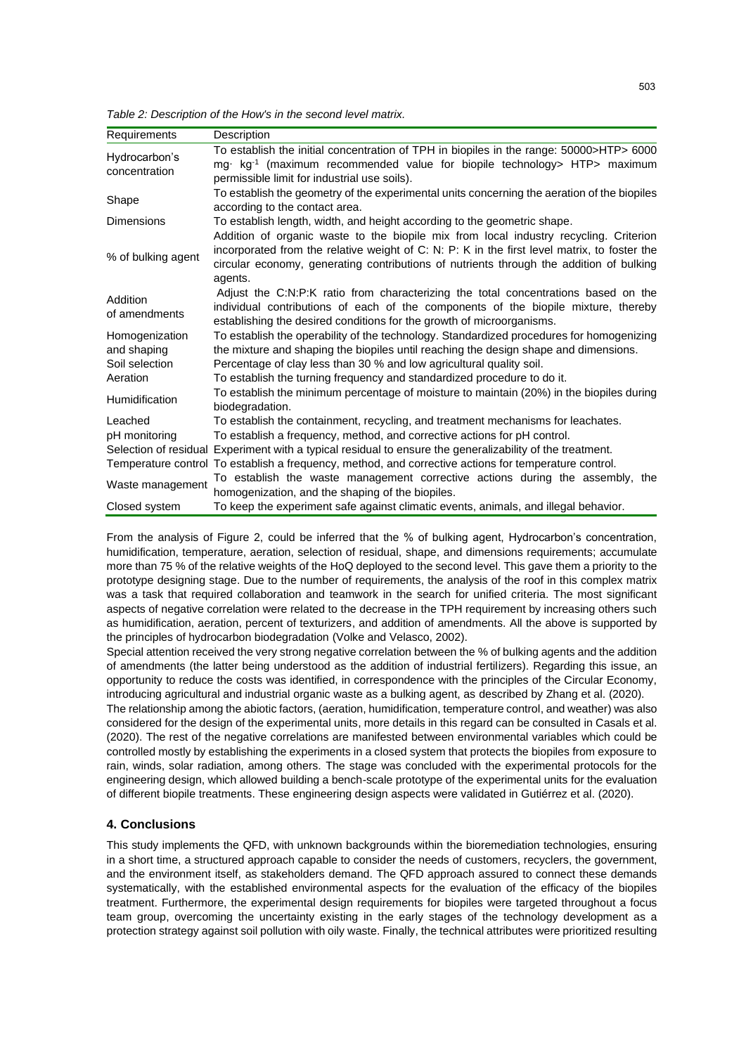*Table 2: Description of the How's in the second level matrix.*

| Requirements              | Description                                                                                                                                                                                                                                                                                 |
|---------------------------|---------------------------------------------------------------------------------------------------------------------------------------------------------------------------------------------------------------------------------------------------------------------------------------------|
| Hydrocarbon's             | To establish the initial concentration of TPH in biopiles in the range: 50000>HTP> 6000                                                                                                                                                                                                     |
| concentration             | mg kg <sup>-1</sup> (maximum recommended value for biopile technology> HTP> maximum                                                                                                                                                                                                         |
|                           | permissible limit for industrial use soils).                                                                                                                                                                                                                                                |
| Shape                     | To establish the geometry of the experimental units concerning the aeration of the biopiles                                                                                                                                                                                                 |
|                           | according to the contact area.                                                                                                                                                                                                                                                              |
| <b>Dimensions</b>         | To establish length, width, and height according to the geometric shape.                                                                                                                                                                                                                    |
| % of bulking agent        | Addition of organic waste to the biopile mix from local industry recycling. Criterion<br>incorporated from the relative weight of C: N: P: K in the first level matrix, to foster the<br>circular economy, generating contributions of nutrients through the addition of bulking<br>agents. |
| Addition<br>of amendments | Adjust the C:N:P:K ratio from characterizing the total concentrations based on the<br>individual contributions of each of the components of the biopile mixture, thereby<br>establishing the desired conditions for the growth of microorganisms.                                           |
| Homogenization            | To establish the operability of the technology. Standardized procedures for homogenizing                                                                                                                                                                                                    |
| and shaping               | the mixture and shaping the biopiles until reaching the design shape and dimensions.                                                                                                                                                                                                        |
| Soil selection            | Percentage of clay less than 30 % and low agricultural quality soil.                                                                                                                                                                                                                        |
| Aeration                  | To establish the turning frequency and standardized procedure to do it.                                                                                                                                                                                                                     |
| <b>Humidification</b>     | To establish the minimum percentage of moisture to maintain (20%) in the biopiles during<br>biodegradation.                                                                                                                                                                                 |
| Leached                   | To establish the containment, recycling, and treatment mechanisms for leachates.                                                                                                                                                                                                            |
| pH monitoring             | To establish a frequency, method, and corrective actions for pH control.                                                                                                                                                                                                                    |
|                           | Selection of residual Experiment with a typical residual to ensure the generalizability of the treatment.                                                                                                                                                                                   |
|                           | Temperature control To establish a frequency, method, and corrective actions for temperature control.                                                                                                                                                                                       |
| Waste management          | To establish the waste management corrective actions during the assembly, the<br>homogenization, and the shaping of the biopiles.                                                                                                                                                           |
| Closed system             | To keep the experiment safe against climatic events, animals, and illegal behavior.                                                                                                                                                                                                         |

From the analysis of Figure 2, could be inferred that the % of bulking agent, Hydrocarbon's concentration, humidification, temperature, aeration, selection of residual, shape, and dimensions requirements; accumulate more than 75 % of the relative weights of the HoQ deployed to the second level. This gave them a priority to the prototype designing stage. Due to the number of requirements, the analysis of the roof in this complex matrix was a task that required collaboration and teamwork in the search for unified criteria. The most significant aspects of negative correlation were related to the decrease in the TPH requirement by increasing others such as humidification, aeration, percent of texturizers, and addition of amendments. All the above is supported by the principles of hydrocarbon biodegradation (Volke and Velasco, 2002).

Special attention received the very strong negative correlation between the % of bulking agents and the addition of amendments (the latter being understood as the addition of industrial fertilizers). Regarding this issue, an opportunity to reduce the costs was identified, in correspondence with the principles of the Circular Economy, introducing agricultural and industrial organic waste as a bulking agent, as described by Zhang et al. (2020).

The relationship among the abiotic factors, (aeration, humidification, temperature control, and weather) was also considered for the design of the experimental units, more details in this regard can be consulted in Casals et al. (2020). The rest of the negative correlations are manifested between environmental variables which could be controlled mostly by establishing the experiments in a closed system that protects the biopiles from exposure to rain, winds, solar radiation, among others. The stage was concluded with the experimental protocols for the engineering design, which allowed building a bench-scale prototype of the experimental units for the evaluation of different biopile treatments. These engineering design aspects were validated in Gutiérrez et al. (2020).

## **4. Conclusions**

This study implements the QFD, with unknown backgrounds within the bioremediation technologies, ensuring in a short time, a structured approach capable to consider the needs of customers, recyclers, the government, and the environment itself, as stakeholders demand. The QFD approach assured to connect these demands systematically, with the established environmental aspects for the evaluation of the efficacy of the biopiles treatment. Furthermore, the experimental design requirements for biopiles were targeted throughout a focus team group, overcoming the uncertainty existing in the early stages of the technology development as a protection strategy against soil pollution with oily waste. Finally, the technical attributes were prioritized resulting